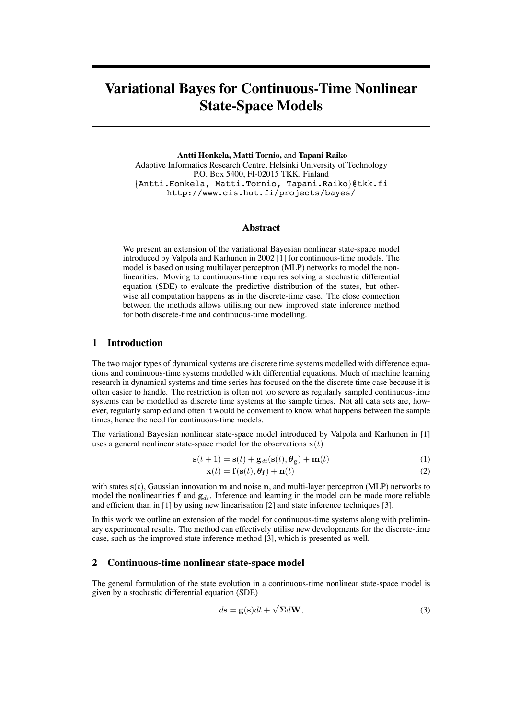# **Variational Bayes for Continuous-Time Nonlinear State-Space Models**

**Antti Honkela, Matti Tornio,** and **Tapani Raiko** Adaptive Informatics Research Centre, Helsinki University of Technology P.O. Box 5400, FI-02015 TKK, Finland {Antti.Honkela, Matti.Tornio, Tapani.Raiko}@tkk.fi http://www.cis.hut.fi/projects/bayes/

#### **Abstract**

We present an extension of the variational Bayesian nonlinear state-space model introduced by Valpola and Karhunen in 2002 [1] for continuous-time models. The model is based on using multilayer perceptron (MLP) networks to model the nonlinearities. Moving to continuous-time requires solving a stochastic differential equation (SDE) to evaluate the predictive distribution of the states, but otherwise all computation happens as in the discrete-time case. The close connection between the methods allows utilising our new improved state inference method for both discrete-time and continuous-time modelling.

## **1 Introduction**

The two major types of dynamical systems are discrete time systems modelled with difference equations and continuous-time systems modelled with differential equations. Much of machine learning research in dynamical systems and time series has focused on the the discrete time case because it is often easier to handle. The restriction is often not too severe as regularly sampled continuous-time systems can be modelled as discrete time systems at the sample times. Not all data sets are, however, regularly sampled and often it would be convenient to know what happens between the sample times, hence the need for continuous-time models.

The variational Bayesian nonlinear state-space model introduced by Valpola and Karhunen in [1] uses a general nonlinear state-space model for the observations  $x(t)$ 

$$
\mathbf{s}(t+1) = \mathbf{s}(t) + \mathbf{g}_{dt}(\mathbf{s}(t), \boldsymbol{\theta}_{\mathbf{g}}) + \mathbf{m}(t)
$$
\n(1)

$$
\mathbf{x}(t) = \mathbf{f}(\mathbf{s}(t), \boldsymbol{\theta}_{\mathbf{f}}) + \mathbf{n}(t)
$$
 (2)

with states  $s(t)$ , Gaussian innovation m and noise n, and multi-layer perceptron (MLP) networks to model the nonlinearities f and  $g_{dt}$ . Inference and learning in the model can be made more reliable and efficient than in [1] by using new linearisation [2] and state inference techniques [3].

In this work we outline an extension of the model for continuous-time systems along with preliminary experimental results. The method can effectively utilise new developments for the discrete-time case, such as the improved state inference method [3], which is presented as well.

## **2 Continuous-time nonlinear state-space model**

The general formulation of the state evolution in a continuous-time nonlinear state-space model is given by a stochastic differential equation (SDE)

$$
d\mathbf{s} = \mathbf{g}(\mathbf{s})dt + \sqrt{\Sigma}d\mathbf{W},\tag{3}
$$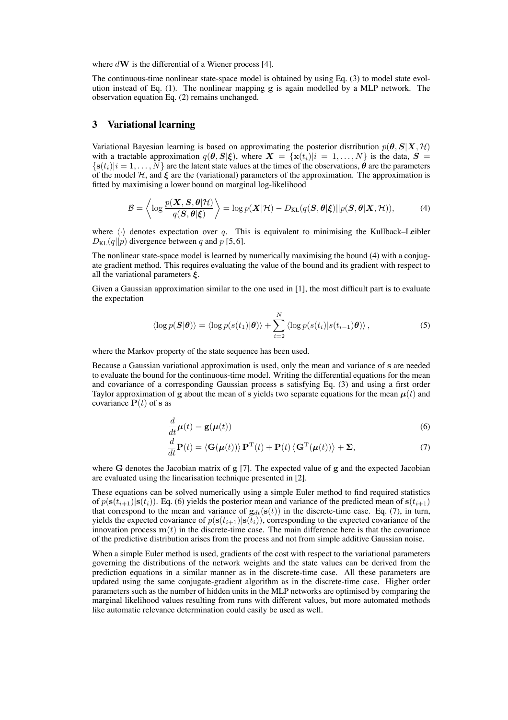where  $d\mathbf{W}$  is the differential of a Wiener process [4].

The continuous-time nonlinear state-space model is obtained by using Eq. (3) to model state evolution instead of Eq. (1). The nonlinear mapping g is again modelled by a MLP network. The observation equation Eq. (2) remains unchanged.

## **3 Variational learning**

Variational Bayesian learning is based on approximating the posterior distribution  $p(\theta, S|X, \mathcal{H})$ with a tractable approximation  $q(\theta, S|\xi)$ , where  $X = \{x(t_i)|i = 1, ..., N\}$  is the data,  $S =$  ${s(t<sub>i</sub>)}$  = 1, ..., N are the latent state values at the times of the observations,  $\hat{\theta}$  are the parameters of the model  $H$ , and  $\boldsymbol{\xi}$  are the (variational) parameters of the approximation. The approximation is fitted by maximising a lower bound on marginal log-likelihood

$$
\mathcal{B} = \left\langle \log \frac{p(\mathbf{X}, \mathbf{S}, \boldsymbol{\theta} | \mathcal{H})}{q(\mathbf{S}, \boldsymbol{\theta} | \boldsymbol{\xi})} \right\rangle = \log p(\mathbf{X} | \mathcal{H}) - D_{\text{KL}}(q(\mathbf{S}, \boldsymbol{\theta} | \boldsymbol{\xi}) || p(\mathbf{S}, \boldsymbol{\theta} | \mathbf{X}, \mathcal{H})), \tag{4}
$$

where  $\langle \cdot \rangle$  denotes expectation over q. This is equivalent to minimising the Kullback–Leibler  $D_{\text{KL}}(q||p)$  divergence between q and p [5,6].

The nonlinear state-space model is learned by numerically maximising the bound (4) with a conjugate gradient method. This requires evaluating the value of the bound and its gradient with respect to all the variational parameters  $\xi$ .

Given a Gaussian approximation similar to the one used in [1], the most difficult part is to evaluate the expectation

$$
\langle \log p(\boldsymbol{S}|\boldsymbol{\theta}) \rangle = \langle \log p(s(t_1)|\boldsymbol{\theta}) \rangle + \sum_{i=2}^{N} \langle \log p(s(t_i)|s(t_{i-1})\boldsymbol{\theta}) \rangle, \tag{5}
$$

where the Markov property of the state sequence has been used.

Because a Gaussian variational approximation is used, only the mean and variance of s are needed to evaluate the bound for the continuous-time model. Writing the differential equations for the mean and covariance of a corresponding Gaussian process s satisfying Eq. (3) and using a first order Taylor approximation of g about the mean of s yields two separate equations for the mean  $\mu(t)$  and covariance  $P(t)$  of s as

$$
\frac{d}{dt}\boldsymbol{\mu}(t) = \mathbf{g}(\boldsymbol{\mu}(t))
$$
\n(6)

$$
\frac{d}{dt}\mathbf{P}(t) = \langle \mathbf{G}(\boldsymbol{\mu}(t)) \rangle \mathbf{P}^{\mathrm{T}}(t) + \mathbf{P}(t) \langle \mathbf{G}^{\mathrm{T}}(\boldsymbol{\mu}(t)) \rangle + \boldsymbol{\Sigma},\tag{7}
$$

where G denotes the Jacobian matrix of  $g$  [7]. The expected value of  $g$  and the expected Jacobian are evaluated using the linearisation technique presented in [2].

These equations can be solved numerically using a simple Euler method to find required statistics of  $p(s(t_{i+1})|s(t_i))$ . Eq. (6) yields the posterior mean and variance of the predicted mean of  $s(t_{i+1})$ that correspond to the mean and variance of  $g_{dt}(s(t))$  in the discrete-time case. Eq. (7), in turn, yields the expected covariance of  $p(s(t_{i+1})|s(t_i))$ , corresponding to the expected covariance of the innovation process  $\mathbf{m}(t)$  in the discrete-time case. The main difference here is that the covariance of the predictive distribution arises from the process and not from simple additive Gaussian noise.

When a simple Euler method is used, gradients of the cost with respect to the variational parameters governing the distributions of the network weights and the state values can be derived from the prediction equations in a similar manner as in the discrete-time case. All these parameters are updated using the same conjugate-gradient algorithm as in the discrete-time case. Higher order parameters such as the number of hidden units in the MLP networks are optimised by comparing the marginal likelihood values resulting from runs with different values, but more automated methods like automatic relevance determination could easily be used as well.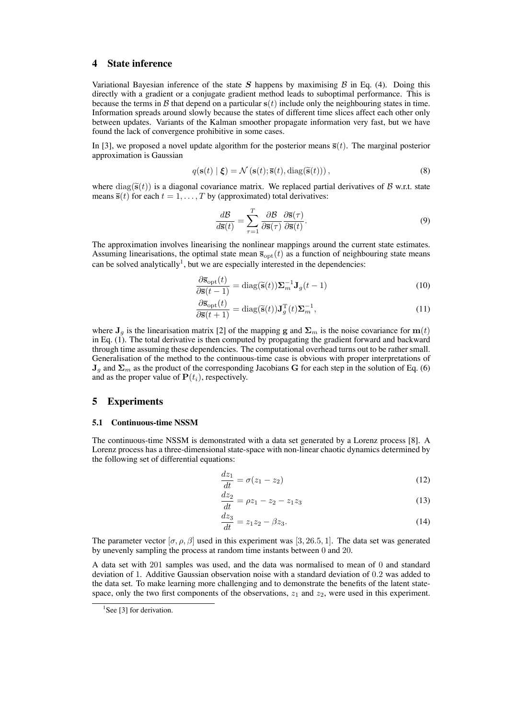# **4 State inference**

Variational Bayesian inference of the state S happens by maximising  $\beta$  in Eq. (4). Doing this directly with a gradient or a conjugate gradient method leads to suboptimal performance. This is because the terms in B that depend on a particular  $s(t)$  include only the neighbouring states in time. Information spreads around slowly because the states of different time slices affect each other only between updates. Variants of the Kalman smoother propagate information very fast, but we have found the lack of convergence prohibitive in some cases.

In [3], we proposed a novel update algorithm for the posterior means  $\bar{\mathbf{s}}(t)$ . The marginal posterior approximation is Gaussian

$$
q(\mathbf{s}(t) \mid \boldsymbol{\xi}) = \mathcal{N}(\mathbf{s}(t); \overline{\mathbf{s}}(t), \text{diag}(\widetilde{\mathbf{s}}(t))),
$$
\n(8)

where  $diag(\tilde{s}(t))$  is a diagonal covariance matrix. We replaced partial derivatives of B w.r.t. state means  $\bar{s}(t)$  for each  $t = 1, ..., T$  by (approximated) total derivatives:

$$
\frac{d\mathcal{B}}{d\overline{s}(t)} = \sum_{\tau=1}^{T} \frac{\partial \mathcal{B}}{\partial \overline{s}(\tau)} \frac{\partial \overline{s}(\tau)}{\partial \overline{s}(t)}.
$$
\n(9)

The approximation involves linearising the nonlinear mappings around the current state estimates. Assuming linearisations, the optimal state mean  $\bar{s}_{opt}(t)$  as a function of neighbouring state means can be solved analytically<sup>1</sup>, but we are especially interested in the dependencies:

$$
\frac{\partial \overline{\mathbf{s}}_{\text{opt}}(t)}{\partial \overline{\mathbf{s}}(t-1)} = \text{diag}(\widetilde{\mathbf{s}}(t))\Sigma_m^{-1} \mathbf{J}_g(t-1)
$$
(10)

$$
\frac{\partial \overline{\mathbf{s}}_{\text{opt}}(t)}{\partial \overline{\mathbf{s}}(t+1)} = \text{diag}(\widetilde{\mathbf{s}}(t))\mathbf{J}_g^{\text{T}}(t)\mathbf{\Sigma}_m^{-1},\tag{11}
$$

where  $J_q$  is the linearisation matrix [2] of the mapping g and  $\Sigma_m$  is the noise covariance for  $m(t)$ in Eq. (1). The total derivative is then computed by propagating the gradient forward and backward through time assuming these dependencies. The computational overhead turns out to be rather small. Generalisation of the method to the continuous-time case is obvious with proper interpretations of  $J_g$  and  $\Sigma_m$  as the product of the corresponding Jacobians G for each step in the solution of Eq. (6) and as the proper value of  $P(t_i)$ , respectively.

## **5 Experiments**

#### **5.1 Continuous-time NSSM**

The continuous-time NSSM is demonstrated with a data set generated by a Lorenz process [8]. A Lorenz process has a three-dimensional state-space with non-linear chaotic dynamics determined by the following set of differential equations:

$$
\frac{dz_1}{dt} = \sigma(z_1 - z_2) \tag{12}
$$

$$
\frac{dz_2}{dt} = \rho z_1 - z_2 - z_1 z_3 \tag{13}
$$

$$
\frac{dz_3}{dt} = z_1 z_2 - \beta z_3. \tag{14}
$$

The parameter vector  $[\sigma, \rho, \beta]$  used in this experiment was [3, 26.5, 1]. The data set was generated by unevenly sampling the process at random time instants between 0 and 20.

A data set with 201 samples was used, and the data was normalised to mean of 0 and standard deviation of 1. Additive Gaussian observation noise with a standard deviation of 0.2 was added to the data set. To make learning more challenging and to demonstrate the benefits of the latent statespace, only the two first components of the observations,  $z_1$  and  $z_2$ , were used in this experiment.

<sup>&</sup>lt;sup>1</sup>See [3] for derivation.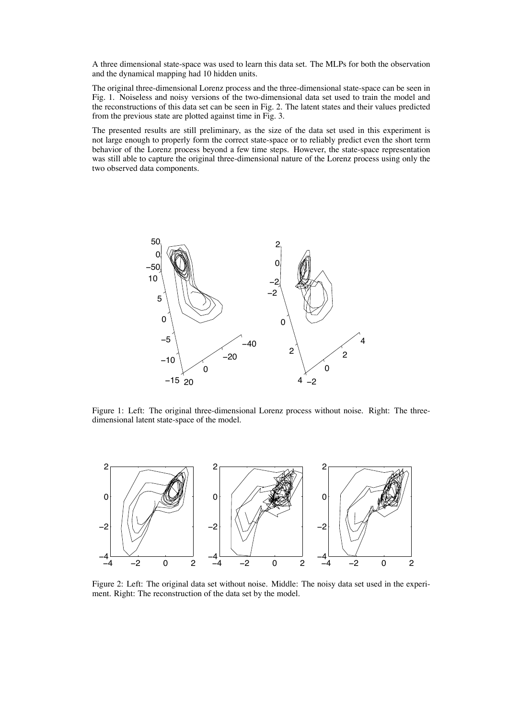A three dimensional state-space was used to learn this data set. The MLPs for both the observation and the dynamical mapping had 10 hidden units.

The original three-dimensional Lorenz process and the three-dimensional state-space can be seen in Fig. 1. Noiseless and noisy versions of the two-dimensional data set used to train the model and the reconstructions of this data set can be seen in Fig. 2. The latent states and their values predicted from the previous state are plotted against time in Fig. 3.

The presented results are still preliminary, as the size of the data set used in this experiment is not large enough to properly form the correct state-space or to reliably predict even the short term behavior of the Lorenz process beyond a few time steps. However, the state-space representation was still able to capture the original three-dimensional nature of the Lorenz process using only the two observed data components.



Figure 1: Left: The original three-dimensional Lorenz process without noise. Right: The threedimensional latent state-space of the model.



Figure 2: Left: The original data set without noise. Middle: The noisy data set used in the experiment. Right: The reconstruction of the data set by the model.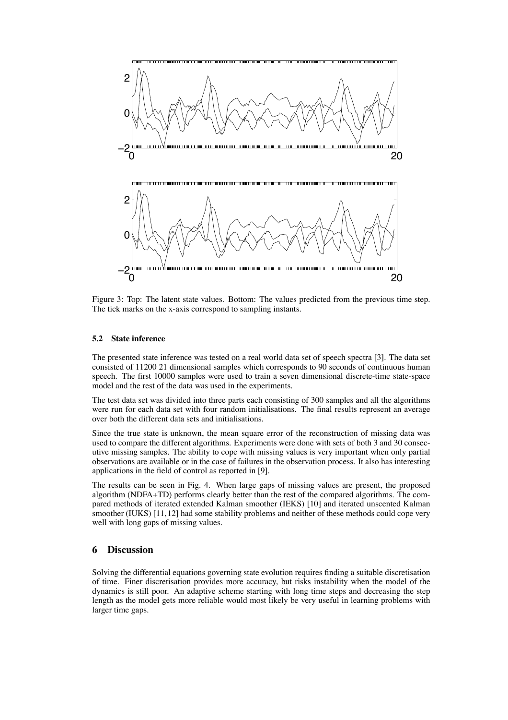

Figure 3: Top: The latent state values. Bottom: The values predicted from the previous time step. The tick marks on the x-axis correspond to sampling instants.

### **5.2 State inference**

The presented state inference was tested on a real world data set of speech spectra [3]. The data set consisted of 11200 21 dimensional samples which corresponds to 90 seconds of continuous human speech. The first 10000 samples were used to train a seven dimensional discrete-time state-space model and the rest of the data was used in the experiments.

The test data set was divided into three parts each consisting of 300 samples and all the algorithms were run for each data set with four random initialisations. The final results represent an average over both the different data sets and initialisations.

Since the true state is unknown, the mean square error of the reconstruction of missing data was used to compare the different algorithms. Experiments were done with sets of both 3 and 30 consecutive missing samples. The ability to cope with missing values is very important when only partial observations are available or in the case of failures in the observation process. It also has interesting applications in the field of control as reported in [9].

The results can be seen in Fig. 4. When large gaps of missing values are present, the proposed algorithm (NDFA+TD) performs clearly better than the rest of the compared algorithms. The compared methods of iterated extended Kalman smoother (IEKS) [10] and iterated unscented Kalman smoother (IUKS) [11,12] had some stability problems and neither of these methods could cope very well with long gaps of missing values.

# **6 Discussion**

Solving the differential equations governing state evolution requires finding a suitable discretisation of time. Finer discretisation provides more accuracy, but risks instability when the model of the dynamics is still poor. An adaptive scheme starting with long time steps and decreasing the step length as the model gets more reliable would most likely be very useful in learning problems with larger time gaps.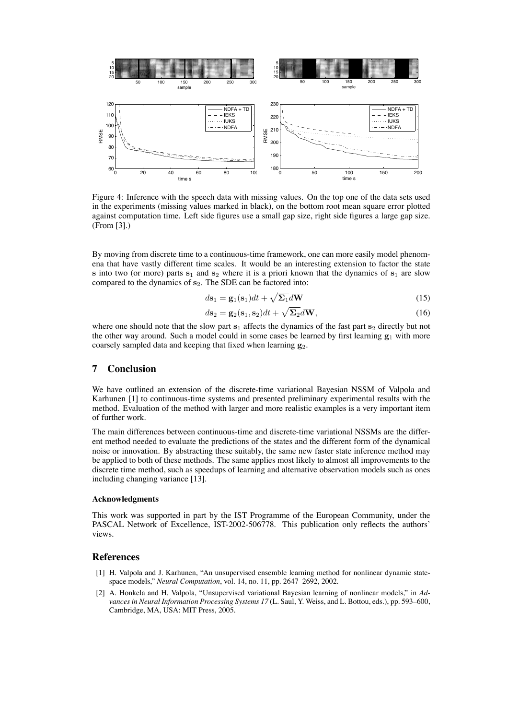

Figure 4: Inference with the speech data with missing values. On the top one of the data sets used in the experiments (missing values marked in black), on the bottom root mean square error plotted against computation time. Left side figures use a small gap size, right side figures a large gap size. (From [3].)

By moving from discrete time to a continuous-time framework, one can more easily model phenomena that have vastly different time scales. It would be an interesting extension to factor the state s into two (or more) parts  $s_1$  and  $s_2$  where it is a priori known that the dynamics of  $s_1$  are slow compared to the dynamics of  $s_2$ . The SDE can be factored into:

$$
d\mathbf{s}_1 = \mathbf{g}_1(\mathbf{s}_1)dt + \sqrt{\Sigma_1}d\mathbf{W}
$$
\n(15)

$$
d\mathbf{s}_2 = \mathbf{g}_2(\mathbf{s}_1, \mathbf{s}_2)dt + \sqrt{\Sigma_2}d\mathbf{W},\tag{16}
$$

where one should note that the slow part  $s_1$  affects the dynamics of the fast part  $s_2$  directly but not the other way around. Such a model could in some cases be learned by first learning  $g_1$  with more coarsely sampled data and keeping that fixed when learning  $g_2$ .

## **7 Conclusion**

We have outlined an extension of the discrete-time variational Bayesian NSSM of Valpola and Karhunen [1] to continuous-time systems and presented preliminary experimental results with the method. Evaluation of the method with larger and more realistic examples is a very important item of further work.

The main differences between continuous-time and discrete-time variational NSSMs are the different method needed to evaluate the predictions of the states and the different form of the dynamical noise or innovation. By abstracting these suitably, the same new faster state inference method may be applied to both of these methods. The same applies most likely to almost all improvements to the discrete time method, such as speedups of learning and alternative observation models such as ones including changing variance [13].

## **Acknowledgments**

This work was supported in part by the IST Programme of the European Community, under the PASCAL Network of Excellence, IST-2002-506778. This publication only reflects the authors' views.

# **References**

- [1] H. Valpola and J. Karhunen, "An unsupervised ensemble learning method for nonlinear dynamic statespace models," *Neural Computation*, vol. 14, no. 11, pp. 2647–2692, 2002.
- [2] A. Honkela and H. Valpola, "Unsupervised variational Bayesian learning of nonlinear models," in *Advances in Neural Information Processing Systems 17* (L. Saul, Y. Weiss, and L. Bottou, eds.), pp. 593–600, Cambridge, MA, USA: MIT Press, 2005.